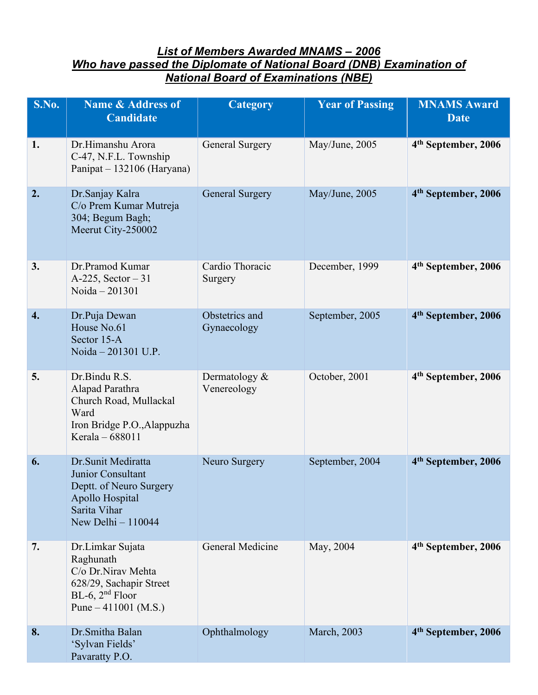## *List of Members Awarded MNAMS – 2006 Who have passed the Diplomate of National Board (DNB) Examination of National Board of Examinations (NBE)*

| S.No.              | <b>Name &amp; Address of</b><br><b>Candidate</b>                                                                                | <b>Category</b>               | <b>Year of Passing</b> | <b>MNAMS Award</b><br><b>Date</b> |
|--------------------|---------------------------------------------------------------------------------------------------------------------------------|-------------------------------|------------------------|-----------------------------------|
| 1.                 | Dr.Himanshu Arora<br>C-47, N.F.L. Township<br>Panipat $-132106$ (Haryana)                                                       | <b>General Surgery</b>        | May/June, 2005         | 4 <sup>th</sup> September, 2006   |
| 2.                 | Dr.Sanjay Kalra<br>C/o Prem Kumar Mutreja<br>304; Begum Bagh;<br>Meerut City-250002                                             | <b>General Surgery</b>        | May/June, 2005         | 4 <sup>th</sup> September, 2006   |
| 3.                 | Dr.Pramod Kumar<br>$A-225$ , Sector $-31$<br>Noida - 201301                                                                     | Cardio Thoracic<br>Surgery    | December, 1999         | 4 <sup>th</sup> September, 2006   |
| $\boldsymbol{4}$ . | Dr.Puja Dewan<br>House No.61<br>Sector 15-A<br>Noida - 201301 U.P.                                                              | Obstetrics and<br>Gynaecology | September, 2005        | 4 <sup>th</sup> September, 2006   |
| 5.                 | Dr.Bindu R.S.<br>Alapad Parathra<br>Church Road, Mullackal<br>Ward<br>Iron Bridge P.O., Alappuzha<br>Kerala - 688011            | Dermatology &<br>Venereology  | October, 2001          | 4 <sup>th</sup> September, 2006   |
| 6.                 | Dr.Sunit Mediratta<br>Junior Consultant<br>Deptt. of Neuro Surgery<br>Apollo Hospital<br>Sarita Vihar<br>New Delhi - 110044     | Neuro Surgery                 | September, 2004        | 4 <sup>th</sup> September, 2006   |
| 7.                 | Dr.Limkar Sujata<br>Raghunath<br>C/o Dr.Nirav Mehta<br>628/29, Sachapir Street<br>$BL-6$ , $2nd Floor$<br>Pune $-411001$ (M.S.) | General Medicine              | May, 2004              | 4 <sup>th</sup> September, 2006   |
| 8.                 | Dr.Smitha Balan<br>'Sylvan Fields'<br>Pavaratty P.O.                                                                            | Ophthalmology                 | March, 2003            | 4 <sup>th</sup> September, 2006   |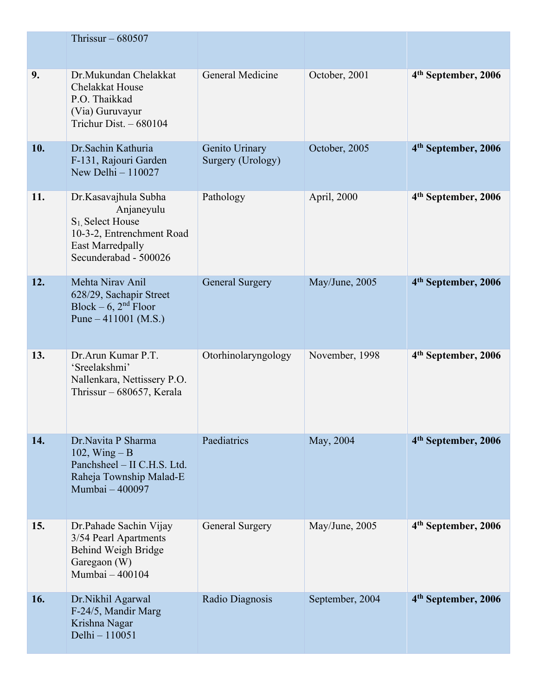|     | Thrissur $-680507$                                                                                                                          |                                     |                 |                                 |
|-----|---------------------------------------------------------------------------------------------------------------------------------------------|-------------------------------------|-----------------|---------------------------------|
| 9.  | Dr.Mukundan Chelakkat<br><b>Chelakkat House</b><br>P.O. Thaikkad<br>(Via) Guruvayur<br>Trichur Dist. - 680104                               | General Medicine                    | October, 2001   | 4 <sup>th</sup> September, 2006 |
| 10. | Dr.Sachin Kathuria<br>F-131, Rajouri Garden<br>New Delhi $-110027$                                                                          | Genito Urinary<br>Surgery (Urology) | October, 2005   | 4 <sup>th</sup> September, 2006 |
| 11. | Dr.Kasavajhula Subha<br>Anjaneyulu<br>$S_1$ . Select House<br>10-3-2, Entrenchment Road<br><b>East Marredpally</b><br>Secunderabad - 500026 | Pathology                           | April, 2000     | 4 <sup>th</sup> September, 2006 |
| 12. | Mehta Nirav Anil<br>628/29, Sachapir Street<br>Block – $6, 2nd$ Floor<br>Pune $-411001$ (M.S.)                                              | <b>General Surgery</b>              | May/June, 2005  | 4 <sup>th</sup> September, 2006 |
| 13. | Dr.Arun Kumar P.T.<br>'Sreelakshmi'<br>Nallenkara, Nettissery P.O.<br>Thrissur - 680657, Kerala                                             | Otorhinolaryngology                 | November, 1998  | 4 <sup>th</sup> September, 2006 |
| 14. | Dr.Navita P Sharma<br>102, Wing $- B$<br>Panchsheel - II C.H.S. Ltd.<br>Raheja Township Malad-E<br>Mumbai - 400097                          | Paediatrics                         | May, 2004       | 4 <sup>th</sup> September, 2006 |
| 15. | Dr.Pahade Sachin Vijay<br>3/54 Pearl Apartments<br>Behind Weigh Bridge<br>Garegaon (W)<br>Mumbai - 400104                                   | General Surgery                     | May/June, 2005  | 4 <sup>th</sup> September, 2006 |
| 16. | Dr. Nikhil Agarwal<br>F-24/5, Mandir Marg<br>Krishna Nagar<br>Delhi - 110051                                                                | Radio Diagnosis                     | September, 2004 | 4 <sup>th</sup> September, 2006 |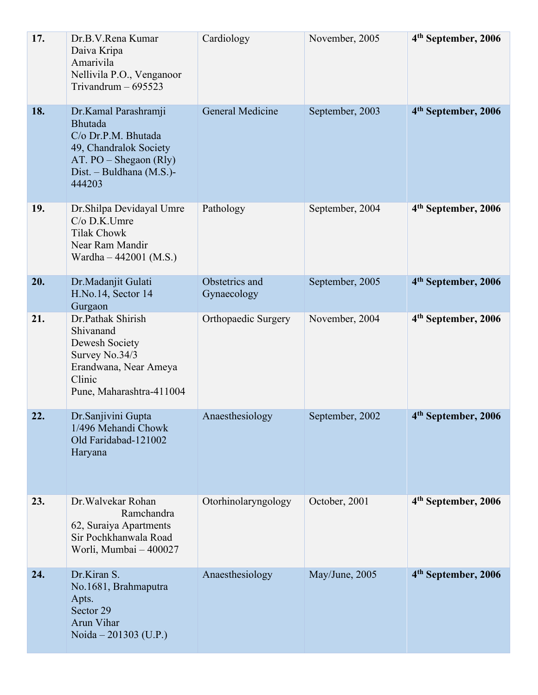| 17. | Dr.B.V.Rena Kumar<br>Daiva Kripa<br>Amarivila<br>Nellivila P.O., Venganoor<br>Trivandrum $-695523$                                                        | Cardiology                    | November, 2005  | 4 <sup>th</sup> September, 2006 |
|-----|-----------------------------------------------------------------------------------------------------------------------------------------------------------|-------------------------------|-----------------|---------------------------------|
| 18. | Dr.Kamal Parashramji<br><b>Bhutada</b><br>C/o Dr.P.M. Bhutada<br>49, Chandralok Society<br>AT. $PO - Shegaon (Rly)$<br>Dist. - Buldhana (M.S.)-<br>444203 | General Medicine              | September, 2003 | 4 <sup>th</sup> September, 2006 |
| 19. | Dr. Shilpa Devidayal Umre<br>$C/O$ D.K.Umre<br><b>Tilak Chowk</b><br>Near Ram Mandir<br>Wardha $-442001$ (M.S.)                                           | Pathology                     | September, 2004 | 4 <sup>th</sup> September, 2006 |
| 20. | Dr.Madanjit Gulati<br>H.No.14, Sector 14<br>Gurgaon                                                                                                       | Obstetrics and<br>Gynaecology | September, 2005 | 4 <sup>th</sup> September, 2006 |
| 21. | Dr.Pathak Shirish<br>Shivanand<br>Dewesh Society<br>Survey No.34/3<br>Erandwana, Near Ameya<br>Clinic<br>Pune, Maharashtra-411004                         | Orthopaedic Surgery           | November, 2004  | 4 <sup>th</sup> September, 2006 |
| 22. | Dr.Sanjivini Gupta<br>1/496 Mehandi Chowk<br>Old Faridabad-121002<br>Haryana                                                                              | Anaesthesiology               | September, 2002 | 4 <sup>th</sup> September, 2006 |
| 23. | Dr. Walvekar Rohan<br>Ramchandra<br>62, Suraiya Apartments<br>Sir Pochkhanwala Road<br>Worli, Mumbai - 400027                                             | Otorhinolaryngology           | October, 2001   | 4 <sup>th</sup> September, 2006 |
| 24. | Dr.Kiran S.<br>No.1681, Brahmaputra<br>Apts.<br>Sector 29<br>Arun Vihar<br>Noida – 201303 (U.P.)                                                          | Anaesthesiology               | May/June, 2005  | 4 <sup>th</sup> September, 2006 |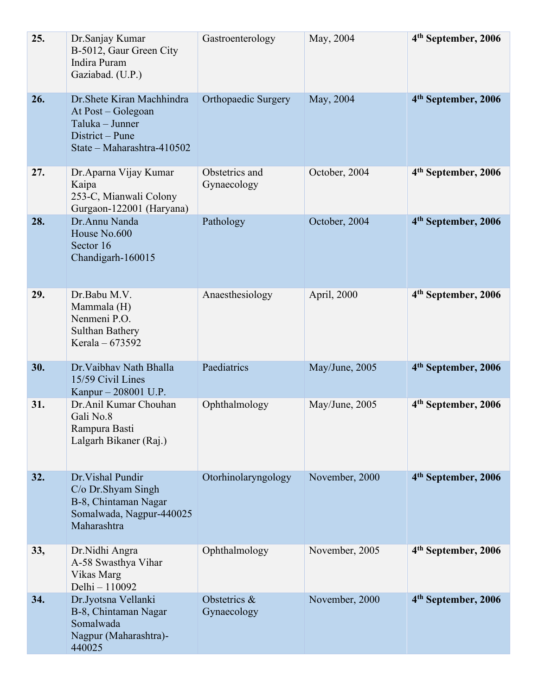| 25. | Dr.Sanjay Kumar<br>B-5012, Gaur Green City<br>Indira Puram<br>Gaziabad. (U.P.)                                       | Gastroenterology              | May, 2004      | 4 <sup>th</sup> September, 2006 |
|-----|----------------------------------------------------------------------------------------------------------------------|-------------------------------|----------------|---------------------------------|
| 26. | Dr. Shete Kiran Machhindra<br>At Post - Golegoan<br>Taluka - Junner<br>District – Pune<br>State – Maharashtra-410502 | Orthopaedic Surgery           | May, 2004      | 4 <sup>th</sup> September, 2006 |
| 27. | Dr. Aparna Vijay Kumar<br>Kaipa<br>253-C, Mianwali Colony<br>Gurgaon-122001 (Haryana)                                | Obstetrics and<br>Gynaecology | October, 2004  | 4 <sup>th</sup> September, 2006 |
| 28. | Dr.Annu Nanda<br>House No.600<br>Sector 16<br>Chandigarh-160015                                                      | Pathology                     | October, 2004  | 4 <sup>th</sup> September, 2006 |
| 29. | Dr.Babu M.V.<br>Mammala (H)<br>Nenmeni P.O.<br><b>Sulthan Bathery</b><br>Kerala – 673592                             | Anaesthesiology               | April, 2000    | 4 <sup>th</sup> September, 2006 |
| 30. | Dr. Vaibhav Nath Bhalla<br>15/59 Civil Lines<br>Kanpur – 208001 U.P.                                                 | Paediatrics                   | May/June, 2005 | 4 <sup>th</sup> September, 2006 |
| 31. | Dr.Anil Kumar Chouhan<br>Gali No.8<br>Rampura Basti<br>Lalgarh Bikaner (Raj.)                                        | Ophthalmology                 | May/June, 2005 | 4 <sup>th</sup> September, 2006 |
| 32. | Dr. Vishal Pundir<br>C/o Dr.Shyam Singh<br>B-8, Chintaman Nagar<br>Somalwada, Nagpur-440025<br>Maharashtra           | Otorhinolaryngology           | November, 2000 | 4 <sup>th</sup> September, 2006 |
| 33, | Dr.Nidhi Angra<br>A-58 Swasthya Vihar<br>Vikas Marg<br>Delhi - 110092                                                | Ophthalmology                 | November, 2005 | 4 <sup>th</sup> September, 2006 |
| 34. | Dr.Jyotsna Vellanki<br>B-8, Chintaman Nagar<br>Somalwada<br>Nagpur (Maharashtra)-<br>440025                          | Obstetrics &<br>Gynaecology   | November, 2000 | 4 <sup>th</sup> September, 2006 |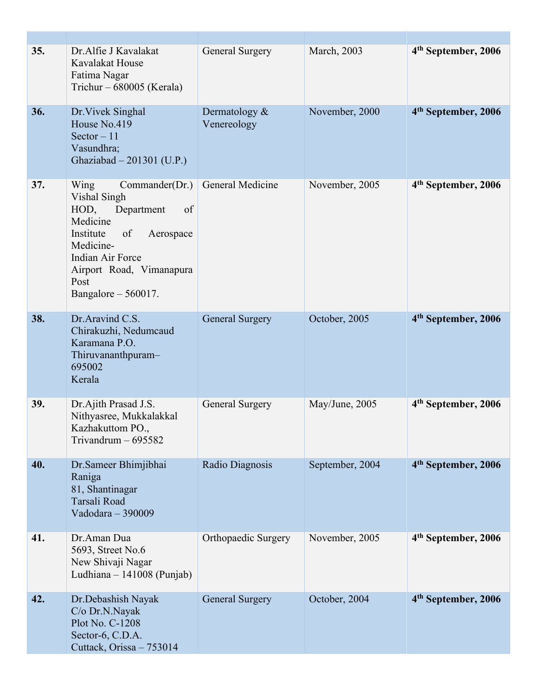| 35. | Dr. Alfie J Kavalakat<br>Kavalakat House<br>Fatima Nagar<br>Trichur – $680005$ (Kerala)                                                                                                                      | General Surgery                 | March, 2003     | 4 <sup>th</sup> September, 2006 |
|-----|--------------------------------------------------------------------------------------------------------------------------------------------------------------------------------------------------------------|---------------------------------|-----------------|---------------------------------|
| 36. | Dr. Vivek Singhal<br>House No.419<br>$Sector - 11$<br>Vasundhra;<br>Ghaziabad - 201301 (U.P.)                                                                                                                | Dermatology $\&$<br>Venereology | November, 2000  | 4 <sup>th</sup> September, 2006 |
| 37. | Commander(Dr.)<br>Wing<br>Vishal Singh<br>HOD,<br>Department<br>of<br>Medicine<br>Institute<br>of<br>Aerospace<br>Medicine-<br>Indian Air Force<br>Airport Road, Vimanapura<br>Post<br>Bangalore $-560017$ . | General Medicine                | November, 2005  | 4 <sup>th</sup> September, 2006 |
| 38. | Dr.Aravind C.S.<br>Chirakuzhi, Nedumcaud<br>Karamana P.O.<br>Thiruvananthpuram-<br>695002<br>Kerala                                                                                                          | <b>General Surgery</b>          | October, 2005   | 4 <sup>th</sup> September, 2006 |
| 39. | Dr.Ajith Prasad J.S.<br>Nithyasree, Mukkalakkal<br>Kazhakuttom PO.,<br>Trivandrum $-695582$                                                                                                                  | General Surgery                 | May/June, 2005  | 4 <sup>th</sup> September, 2006 |
| 40. | Dr.Sameer Bhimjibhai<br>Raniga<br>81, Shantinagar<br>Tarsali Road<br>Vadodara - 390009                                                                                                                       | Radio Diagnosis                 | September, 2004 | 4 <sup>th</sup> September, 2006 |
| 41. | Dr.Aman Dua<br>5693, Street No.6<br>New Shivaji Nagar<br>Ludhiana - 141008 (Punjab)                                                                                                                          | Orthopaedic Surgery             | November, 2005  | 4 <sup>th</sup> September, 2006 |
| 42. | Dr.Debashish Nayak<br>C/o Dr.N.Nayak<br>Plot No. C-1208<br>Sector-6, C.D.A.<br>Cuttack, Orissa - 753014                                                                                                      | <b>General Surgery</b>          | October, 2004   | 4 <sup>th</sup> September, 2006 |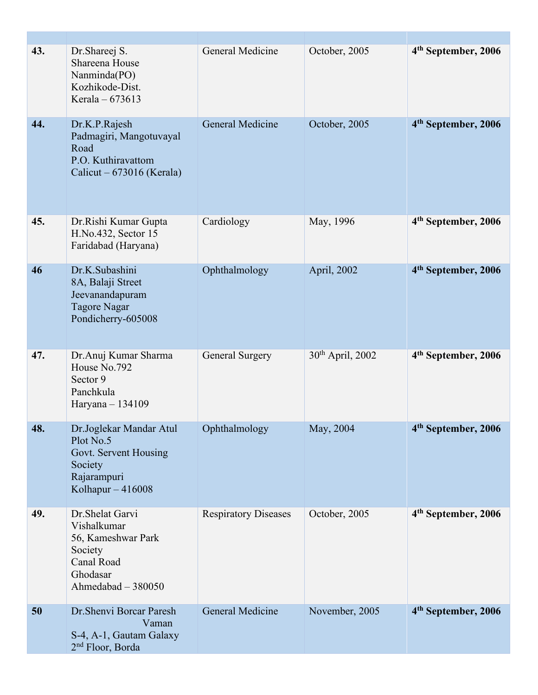| 43. | Dr.Shareej S.<br>Shareena House<br>Nanminda(PO)<br>Kozhikode-Dist.<br>Kerala - 673613                           | General Medicine            | October, 2005                | 4 <sup>th</sup> September, 2006 |
|-----|-----------------------------------------------------------------------------------------------------------------|-----------------------------|------------------------------|---------------------------------|
| 44. | Dr.K.P.Rajesh<br>Padmagiri, Mangotuvayal<br>Road<br>P.O. Kuthiravattom<br>Calicut – $673016$ (Kerala)           | General Medicine            | October, 2005                | 4 <sup>th</sup> September, 2006 |
| 45. | Dr.Rishi Kumar Gupta<br>H.No.432, Sector 15<br>Faridabad (Haryana)                                              | Cardiology                  | May, 1996                    | 4 <sup>th</sup> September, 2006 |
| 46  | Dr.K.Subashini<br>8A, Balaji Street<br>Jeevanandapuram<br><b>Tagore Nagar</b><br>Pondicherry-605008             | Ophthalmology               | April, 2002                  | 4 <sup>th</sup> September, 2006 |
| 47. | Dr.Anuj Kumar Sharma<br>House No.792<br>Sector 9<br>Panchkula<br>Haryana - 134109                               | General Surgery             | 30 <sup>th</sup> April, 2002 | 4 <sup>th</sup> September, 2006 |
| 48. | Dr.Joglekar Mandar Atul<br>Plot No.5<br>Govt. Servent Housing<br>Society<br>Rajarampuri<br>Kolhapur $-416008$   | Ophthalmology               | May, 2004                    | 4 <sup>th</sup> September, 2006 |
| 49. | Dr.Shelat Garvi<br>Vishalkumar<br>56, Kameshwar Park<br>Society<br>Canal Road<br>Ghodasar<br>Ahmedabad - 380050 | <b>Respiratory Diseases</b> | October, 2005                | 4 <sup>th</sup> September, 2006 |
| 50  | Dr. Shenvi Borcar Paresh<br>Vaman<br>S-4, A-1, Gautam Galaxy<br>$2nd$ Floor, Borda                              | General Medicine            | November, 2005               | 4 <sup>th</sup> September, 2006 |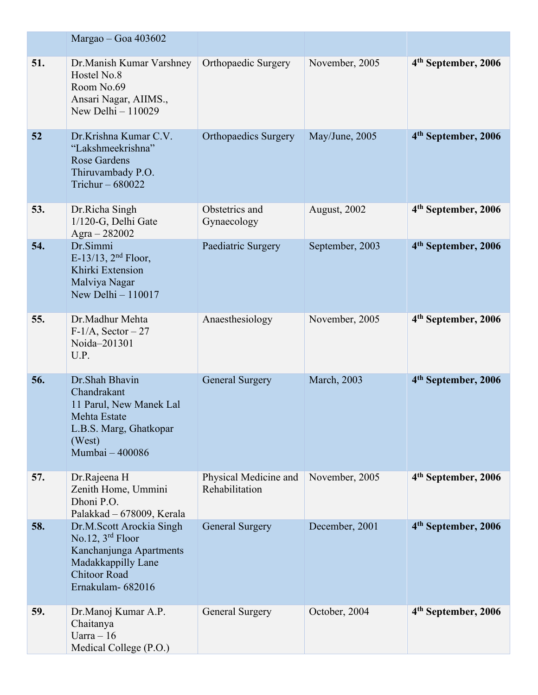|     | Margao - Goa 403602                                                                                                                        |                                         |                     |                                 |
|-----|--------------------------------------------------------------------------------------------------------------------------------------------|-----------------------------------------|---------------------|---------------------------------|
| 51. | Dr. Manish Kumar Varshney<br>Hostel No.8<br>Room No.69<br>Ansari Nagar, AIIMS.,<br>New Delhi - 110029                                      | Orthopaedic Surgery                     | November, 2005      | 4 <sup>th</sup> September, 2006 |
| 52  | Dr.Krishna Kumar C.V.<br>"Lakshmeekrishna"<br><b>Rose Gardens</b><br>Thiruvambady P.O.<br>Trichur $-680022$                                | <b>Orthopaedics Surgery</b>             | May/June, 2005      | 4 <sup>th</sup> September, 2006 |
| 53. | Dr.Richa Singh<br>$1/120$ -G, Delhi Gate<br>Agra $-282002$                                                                                 | Obstetrics and<br>Gynaecology           | <b>August, 2002</b> | 4 <sup>th</sup> September, 2006 |
| 54. | Dr.Simmi<br>E-13/13, $2nd$ Floor,<br>Khirki Extension<br>Malviya Nagar<br>New Delhi - 110017                                               | Paediatric Surgery                      | September, 2003     | 4 <sup>th</sup> September, 2006 |
| 55. | Dr.Madhur Mehta<br>$F-1/A$ , Sector $-27$<br>Noida-201301<br>U.P.                                                                          | Anaesthesiology                         | November, 2005      | 4 <sup>th</sup> September, 2006 |
| 56. | Dr.Shah Bhavin<br>Chandrakant<br>11 Parul, New Manek Lal<br>Mehta Estate<br>L.B.S. Marg, Ghatkopar<br>(West)<br>Mumbai - 400086            | <b>General Surgery</b>                  | March, 2003         | 4 <sup>th</sup> September, 2006 |
| 57. | Dr.Rajeena H<br>Zenith Home, Ummini<br>Dhoni P.O.<br>Palakkad - 678009, Kerala                                                             | Physical Medicine and<br>Rehabilitation | November, 2005      | 4 <sup>th</sup> September, 2006 |
| 58. | Dr.M.Scott Arockia Singh<br>No.12, $3rd$ Floor<br>Kanchanjunga Apartments<br>Madakkappilly Lane<br><b>Chitoor Road</b><br>Ernakulam-682016 | <b>General Surgery</b>                  | December, 2001      | 4 <sup>th</sup> September, 2006 |
| 59. | Dr.Manoj Kumar A.P.<br>Chaitanya<br>Uarra $-16$<br>Medical College (P.O.)                                                                  | General Surgery                         | October, 2004       | 4 <sup>th</sup> September, 2006 |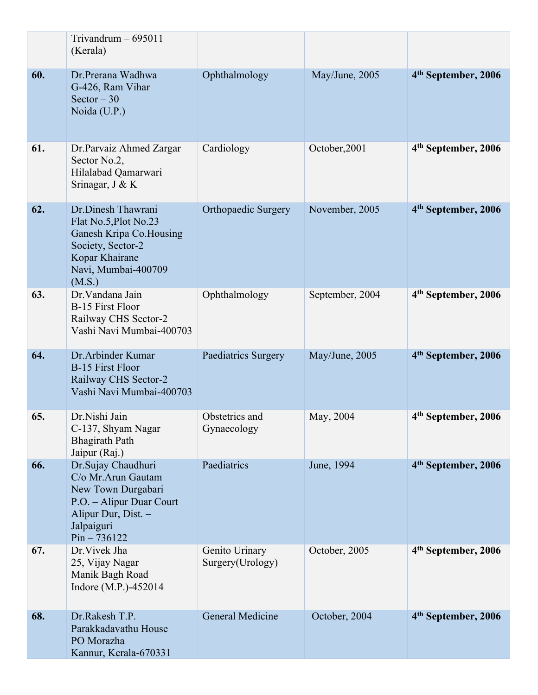|     | Trivandrum $-695011$<br>(Kerala)                                                                                                                  |                                    |                 |                                 |
|-----|---------------------------------------------------------------------------------------------------------------------------------------------------|------------------------------------|-----------------|---------------------------------|
| 60. | Dr.Prerana Wadhwa<br>G-426, Ram Vihar<br>Sector $-30$<br>Noida (U.P.)                                                                             | Ophthalmology                      | May/June, 2005  | 4 <sup>th</sup> September, 2006 |
| 61. | Dr.Parvaiz Ahmed Zargar<br>Sector No.2,<br>Hilalabad Qamarwari<br>Srinagar, J & K                                                                 | Cardiology                         | October, 2001   | 4 <sup>th</sup> September, 2006 |
| 62. | Dr.Dinesh Thawrani<br>Flat No.5, Plot No.23<br>Ganesh Kripa Co. Housing<br>Society, Sector-2<br>Kopar Khairane<br>Navi, Mumbai-400709<br>(M.S.)   | Orthopaedic Surgery                | November, 2005  | 4 <sup>th</sup> September, 2006 |
| 63. | Dr. Vandana Jain<br><b>B-15 First Floor</b><br>Railway CHS Sector-2<br>Vashi Navi Mumbai-400703                                                   | Ophthalmology                      | September, 2004 | 4 <sup>th</sup> September, 2006 |
| 64. | Dr. Arbinder Kumar<br><b>B-15 First Floor</b><br>Railway CHS Sector-2<br>Vashi Navi Mumbai-400703                                                 | Paediatrics Surgery                | May/June, 2005  | 4 <sup>th</sup> September, 2006 |
| 65. | Dr.Nishi Jain<br>C-137, Shyam Nagar<br><b>Bhagirath Path</b><br>Jaipur (Raj.)                                                                     | Obstetrics and<br>Gynaecology      | May, 2004       | 4 <sup>th</sup> September, 2006 |
| 66. | Dr.Sujay Chaudhuri<br>C/o Mr.Arun Gautam<br>New Town Durgabari<br>P.O. - Alipur Duar Court<br>Alipur Dur, Dist. -<br>Jalpaiguri<br>$Pin - 736122$ | Paediatrics                        | June, 1994      | 4 <sup>th</sup> September, 2006 |
| 67. | Dr. Vivek Jha<br>25, Vijay Nagar<br>Manik Bagh Road<br>Indore (M.P.)-452014                                                                       | Genito Urinary<br>Surgery(Urology) | October, 2005   | 4 <sup>th</sup> September, 2006 |
| 68. | Dr.Rakesh T.P.<br>Parakkadavathu House<br>PO Morazha<br>Kannur, Kerala-670331                                                                     | General Medicine                   | October, 2004   | 4 <sup>th</sup> September, 2006 |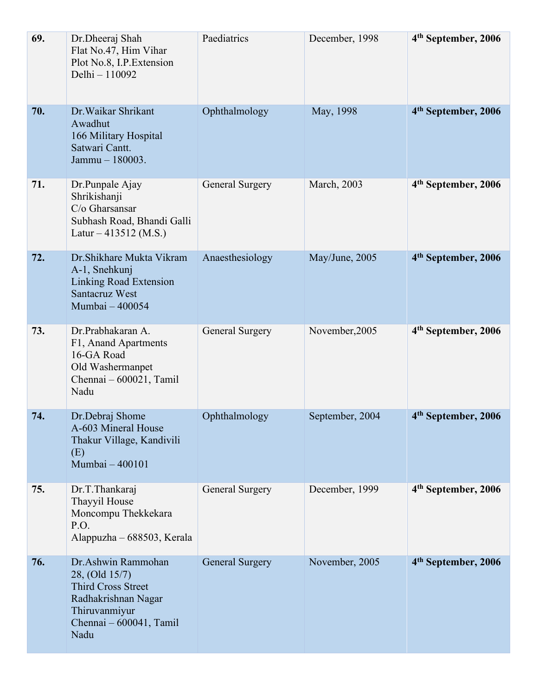| 69. | Dr.Dheeraj Shah<br>Flat No.47, Him Vihar<br>Plot No.8, I.P. Extension<br>Delhi - 110092                                                | Paediatrics            | December, 1998  | 4 <sup>th</sup> September, 2006 |
|-----|----------------------------------------------------------------------------------------------------------------------------------------|------------------------|-----------------|---------------------------------|
| 70. | Dr. Waikar Shrikant<br>Awadhut<br>166 Military Hospital<br>Satwari Cantt.<br>Jammu - 180003.                                           | Ophthalmology          | May, 1998       | 4 <sup>th</sup> September, 2006 |
| 71. | Dr.Punpale Ajay<br>Shrikishanji<br>C/o Gharsansar<br>Subhash Road, Bhandi Galli<br>Latur $-413512$ (M.S.)                              | <b>General Surgery</b> | March, 2003     | 4 <sup>th</sup> September, 2006 |
| 72. | Dr. Shikhare Mukta Vikram<br>A-1, Snehkunj<br><b>Linking Road Extension</b><br>Santacruz West<br>Mumbai - 400054                       | Anaesthesiology        | May/June, 2005  | 4 <sup>th</sup> September, 2006 |
| 73. | Dr.Prabhakaran A.<br>F1, Anand Apartments<br>16-GA Road<br>Old Washermanpet<br>Chennai - 600021, Tamil<br>Nadu                         | General Surgery        | November, 2005  | 4 <sup>th</sup> September, 2006 |
| 74. | Dr.Debraj Shome<br>A-603 Mineral House<br>Thakur Village, Kandivili<br>(E)<br>Mumbai - 400101                                          | Ophthalmology          | September, 2004 | 4 <sup>th</sup> September, 2006 |
| 75. | Dr.T.Thankaraj<br>Thayyil House<br>Moncompu Thekkekara<br>P.O.<br>Alappuzha – 688503, Kerala                                           | <b>General Surgery</b> | December, 1999  | 4 <sup>th</sup> September, 2006 |
| 76. | Dr. Ashwin Rammohan<br>28, (Old 15/7)<br>Third Cross Street<br>Radhakrishnan Nagar<br>Thiruvanmiyur<br>Chennai - 600041, Tamil<br>Nadu | <b>General Surgery</b> | November, 2005  | 4 <sup>th</sup> September, 2006 |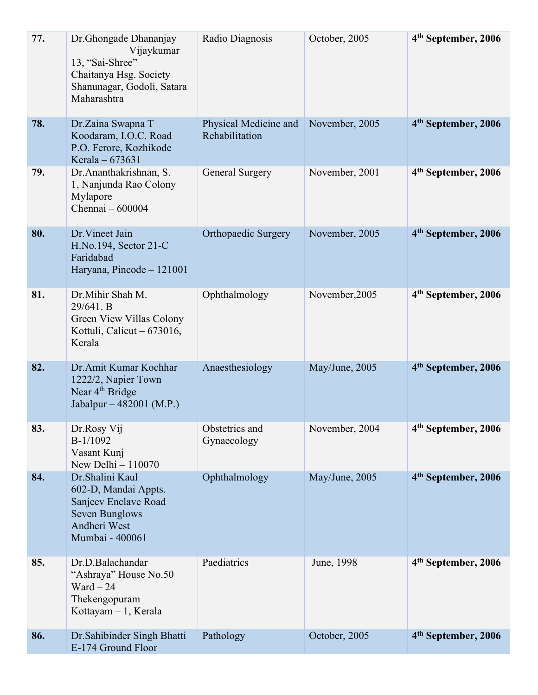| 77. | Dr. Ghongade Dhananjay<br>Vijaykumar<br>13, "Sai-Shree"<br>Chaitanya Hsg. Society<br>Shanunagar, Godoli, Satara<br>Maharashtra | Radio Diagnosis                         | October, 2005  | 4 <sup>th</sup> September, 2006 |
|-----|--------------------------------------------------------------------------------------------------------------------------------|-----------------------------------------|----------------|---------------------------------|
| 78. | Dr.Zaina Swapna T<br>Koodaram, I.O.C. Road<br>P.O. Ferore, Kozhikode<br>Kerala – 673631                                        | Physical Medicine and<br>Rehabilitation | November, 2005 | 4 <sup>th</sup> September, 2006 |
| 79. | Dr.Ananthakrishnan, S.<br>1, Nanjunda Rao Colony<br>Mylapore<br>Chennai - 600004                                               | General Surgery                         | November, 2001 | 4 <sup>th</sup> September, 2006 |
| 80. | Dr. Vineet Jain<br>H.No.194, Sector 21-C<br>Faridabad<br>Haryana, Pincode - 121001                                             | <b>Orthopaedic Surgery</b>              | November, 2005 | 4 <sup>th</sup> September, 2006 |
| 81. | Dr.Mihir Shah M.<br>29/641. B<br>Green View Villas Colony<br>Kottuli, Calicut $-673016$ ,<br>Kerala                            | Ophthalmology                           | November, 2005 | 4 <sup>th</sup> September, 2006 |
| 82. | Dr.Amit Kumar Kochhar<br>1222/2, Napier Town<br>Near 4 <sup>th</sup> Bridge<br>Jabalpur - 482001 (M.P.)                        | Anaesthesiology                         | May/June, 2005 | 4 <sup>th</sup> September, 2006 |
| 83. | Dr.Rosy Vij<br>$B-1/1092$<br>Vasant Kunj<br>New Delhi $-110070$                                                                | Obstetrics and<br>Gynaecology           | November, 2004 | 4 <sup>th</sup> September, 2006 |
| 84. | Dr.Shalini Kaul<br>602-D, Mandai Appts.<br>Sanjeev Enclave Road<br>Seven Bunglows<br>Andheri West<br>Mumbai - 400061           | Ophthalmology                           | May/June, 2005 | 4 <sup>th</sup> September, 2006 |
| 85. | Dr.D.Balachandar<br>"Ashraya" House No.50<br>$Ward - 24$<br>Thekengopuram<br>Kottayam - 1, Kerala                              | Paediatrics                             | June, 1998     | 4 <sup>th</sup> September, 2006 |
| 86. | Dr. Sahibinder Singh Bhatti<br>E-174 Ground Floor                                                                              | Pathology                               | October, 2005  | 4 <sup>th</sup> September, 2006 |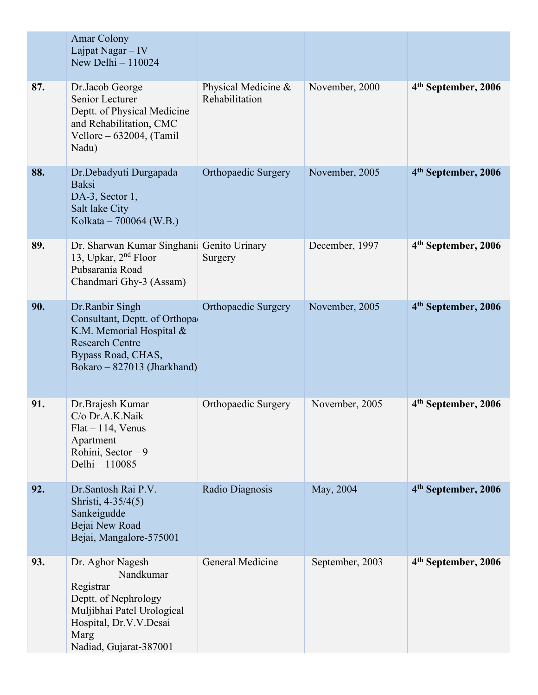|     | <b>Amar Colony</b><br>Lajpat Nagar - IV<br>New Delhi $-110024$                                                                                               |                                       |                 |                                 |
|-----|--------------------------------------------------------------------------------------------------------------------------------------------------------------|---------------------------------------|-----------------|---------------------------------|
| 87. | Dr.Jacob George<br>Senior Lecturer<br>Deptt. of Physical Medicine<br>and Rehabilitation, CMC<br>Vellore $-632004$ , (Tamil<br>Nadu)                          | Physical Medicine &<br>Rehabilitation | November, 2000  | 4 <sup>th</sup> September, 2006 |
| 88. | Dr.Debadyuti Durgapada<br><b>Baksi</b><br>DA-3, Sector 1,<br>Salt lake City<br>Kolkata - 700064 (W.B.)                                                       | <b>Orthopaedic Surgery</b>            | November, 2005  | 4 <sup>th</sup> September, 2006 |
| 89. | Dr. Sharwan Kumar Singhani Genito Urinary<br>13, Upkar, $2nd$ Floor<br>Pubsarania Road<br>Chandmari Ghy-3 (Assam)                                            | Surgery                               | December, 1997  | 4 <sup>th</sup> September, 2006 |
| 90. | Dr.Ranbir Singh<br>Consultant, Deptt. of Orthopa<br>K.M. Memorial Hospital &<br><b>Research Centre</b><br>Bypass Road, CHAS,<br>Bokaro – 827013 (Jharkhand)  | Orthopaedic Surgery                   | November, 2005  | 4 <sup>th</sup> September, 2006 |
| 91. | Dr. Brajesh Kumar<br>C/o Dr.A.K.Naik<br>$Flat-114$ , Venus<br>Apartment<br>Rohini, Sector $-9$<br>Delhi - 110085                                             | Orthopaedic Surgery                   | November, 2005  | 4 <sup>th</sup> September, 2006 |
| 92. | Dr. Santosh Rai P.V.<br>Shristi, 4-35/4(5)<br>Sankeigudde<br>Bejai New Road<br>Bejai, Mangalore-575001                                                       | Radio Diagnosis                       | May, 2004       | 4 <sup>th</sup> September, 2006 |
| 93. | Dr. Aghor Nagesh<br>Nandkumar<br>Registrar<br>Deptt. of Nephrology<br>Muljibhai Patel Urological<br>Hospital, Dr.V.V.Desai<br>Marg<br>Nadiad, Gujarat-387001 | General Medicine                      | September, 2003 | 4 <sup>th</sup> September, 2006 |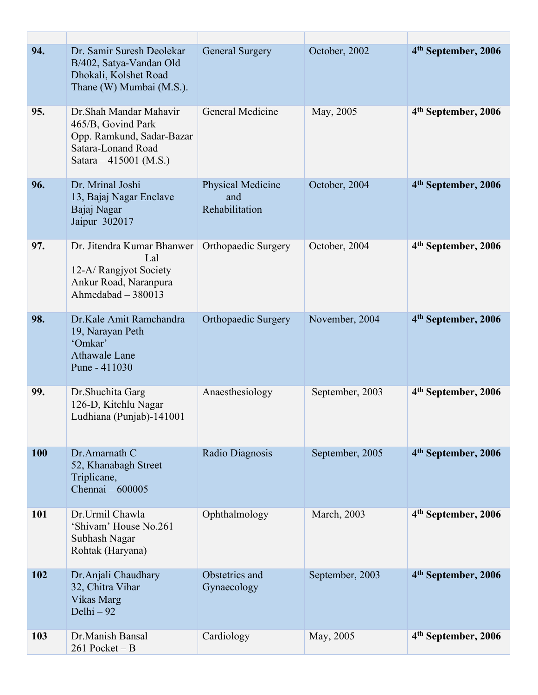| 94. | Dr. Samir Suresh Deolekar<br>B/402, Satya-Vandan Old<br>Dhokali, Kolshet Road<br>Thane (W) Mumbai (M.S.).                   | <b>General Surgery</b>                            | October, 2002   | 4 <sup>th</sup> September, 2006 |
|-----|-----------------------------------------------------------------------------------------------------------------------------|---------------------------------------------------|-----------------|---------------------------------|
| 95. | Dr. Shah Mandar Mahavir<br>465/B, Govind Park<br>Opp. Ramkund, Sadar-Bazar<br>Satara-Lonand Road<br>Satara $-415001$ (M.S.) | General Medicine                                  | May, 2005       | 4 <sup>th</sup> September, 2006 |
| 96. | Dr. Mrinal Joshi<br>13, Bajaj Nagar Enclave<br>Bajaj Nagar<br>Jaipur 302017                                                 | <b>Physical Medicine</b><br>and<br>Rehabilitation | October, 2004   | 4 <sup>th</sup> September, 2006 |
| 97. | Dr. Jitendra Kumar Bhanwer<br>Lal<br>12-A/ Rangjyot Society<br>Ankur Road, Naranpura<br>Ahmedabad $-380013$                 | Orthopaedic Surgery                               | October, 2004   | 4 <sup>th</sup> September, 2006 |
| 98. | Dr.Kale Amit Ramchandra<br>19, Narayan Peth<br>'Omkar'<br><b>Athawale Lane</b><br>Pune - 411030                             | <b>Orthopaedic Surgery</b>                        | November, 2004  | 4 <sup>th</sup> September, 2006 |
| 99. | Dr. Shuchita Garg<br>126-D, Kitchlu Nagar<br>Ludhiana (Punjab)-141001                                                       | Anaesthesiology                                   | September, 2003 | 4 <sup>th</sup> September, 2006 |
| 100 | Dr.Amarnath C<br>52, Khanabagh Street<br>Triplicane,<br>Chennai - 600005                                                    | Radio Diagnosis                                   | September, 2005 | 4 <sup>th</sup> September, 2006 |
| 101 | Dr.Urmil Chawla<br>'Shivam' House No.261<br>Subhash Nagar<br>Rohtak (Haryana)                                               | Ophthalmology                                     | March, 2003     | 4 <sup>th</sup> September, 2006 |
| 102 | Dr.Anjali Chaudhary<br>32, Chitra Vihar<br>Vikas Marg<br>Delhi - 92                                                         | Obstetrics and<br>Gynaecology                     | September, 2003 | 4 <sup>th</sup> September, 2006 |
| 103 | Dr. Manish Bansal<br>$261$ Pocket - B                                                                                       | Cardiology                                        | May, 2005       | 4 <sup>th</sup> September, 2006 |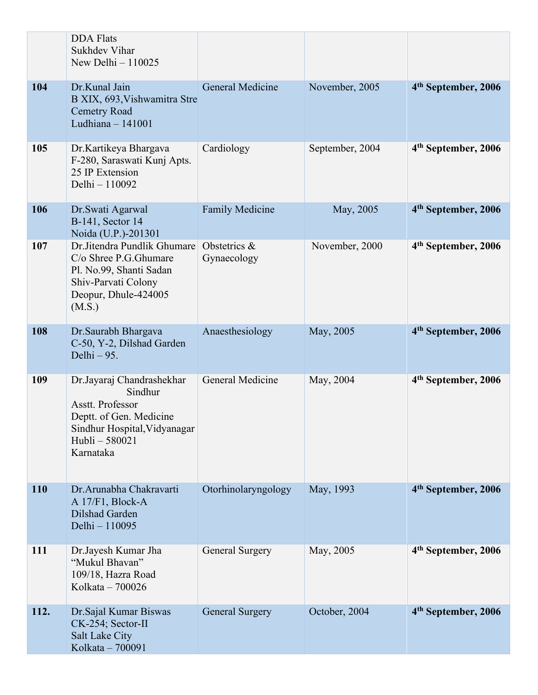|      | <b>DDA</b> Flats<br><b>Sukhdev Vihar</b><br>New Delhi $-110025$                                                                                  |                                |                 |                                 |
|------|--------------------------------------------------------------------------------------------------------------------------------------------------|--------------------------------|-----------------|---------------------------------|
| 104  | Dr.Kunal Jain<br>B XIX, 693, Vishwamitra Stre<br><b>Cemetry Road</b><br>Ludhiana - 141001                                                        | General Medicine               | November, 2005  | 4 <sup>th</sup> September, 2006 |
| 105  | Dr.Kartikeya Bhargava<br>F-280, Saraswati Kunj Apts.<br>25 IP Extension<br>Delhi - 110092                                                        | Cardiology                     | September, 2004 | 4 <sup>th</sup> September, 2006 |
| 106  | Dr. Swati Agarwal<br>B-141, Sector 14<br>Noida (U.P.)-201301                                                                                     | <b>Family Medicine</b>         | May, 2005       | 4 <sup>th</sup> September, 2006 |
| 107  | Dr. Jitendra Pundlik Ghumare<br>C/o Shree P.G.Ghumare<br>Pl. No.99, Shanti Sadan<br>Shiv-Parvati Colony<br>Deopur, Dhule-424005<br>(M.S.)        | Obstetrics $\&$<br>Gynaecology | November, 2000  | 4 <sup>th</sup> September, 2006 |
| 108  | Dr.Saurabh Bhargava<br>C-50, Y-2, Dilshad Garden<br>Delhi $-95$ .                                                                                | Anaesthesiology                | May, 2005       | 4 <sup>th</sup> September, 2006 |
| 109  | Dr.Jayaraj Chandrashekhar<br>Sindhur<br>Asstt. Professor<br>Deptt. of Gen. Medicine<br>Sindhur Hospital, Vidyanagar<br>Hubli-580021<br>Karnataka | General Medicine               | May, 2004       | 4 <sup>th</sup> September, 2006 |
| 110  | Dr. Arunabha Chakravarti<br>A 17/F1, Block-A<br>Dilshad Garden<br>Delhi - 110095                                                                 | Otorhinolaryngology            | May, 1993       | 4 <sup>th</sup> September, 2006 |
| 111  | Dr.Jayesh Kumar Jha<br>"Mukul Bhavan"<br>109/18, Hazra Road<br>Kolkata - 700026                                                                  | General Surgery                | May, 2005       | 4 <sup>th</sup> September, 2006 |
| 112. | Dr. Sajal Kumar Biswas<br>CK-254; Sector-II<br><b>Salt Lake City</b><br>Kolkata - 700091                                                         | <b>General Surgery</b>         | October, 2004   | 4 <sup>th</sup> September, 2006 |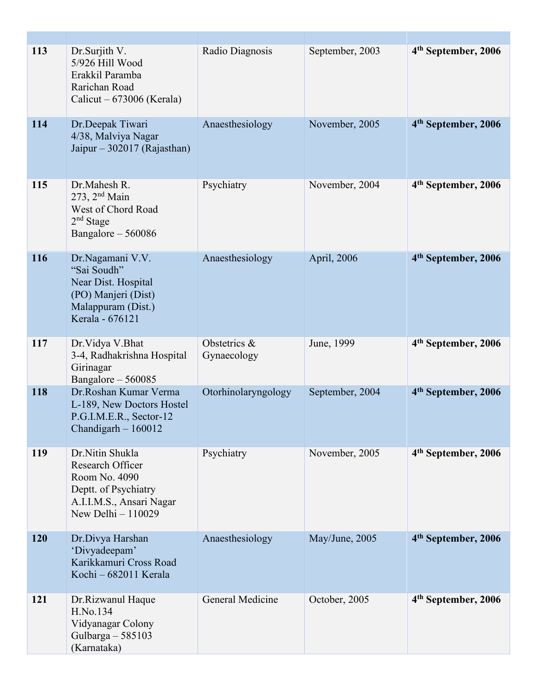| 113 | Dr.Surjith V.<br>5/926 Hill Wood<br>Erakkil Paramba<br>Rarichan Road<br>Calicut – $673006$ (Kerala)                            | Radio Diagnosis             | September, 2003 | 4 <sup>th</sup> September, 2006 |
|-----|--------------------------------------------------------------------------------------------------------------------------------|-----------------------------|-----------------|---------------------------------|
| 114 | Dr.Deepak Tiwari<br>4/38, Malviya Nagar<br>Jaipur – 302017 (Rajasthan)                                                         | Anaesthesiology             | November, 2005  | 4 <sup>th</sup> September, 2006 |
| 115 | Dr.Mahesh R.<br>$273, 2nd$ Main<br>West of Chord Road<br>$2nd$ Stage<br>Bangalore - 560086                                     | Psychiatry                  | November, 2004  | 4 <sup>th</sup> September, 2006 |
| 116 | Dr.Nagamani V.V.<br>"Sai Soudh"<br>Near Dist. Hospital<br>(PO) Manjeri (Dist)<br>Malappuram (Dist.)<br>Kerala - 676121         | Anaesthesiology             | April, 2006     | 4 <sup>th</sup> September, 2006 |
| 117 | Dr. Vidya V. Bhat<br>3-4, Radhakrishna Hospital<br>Girinagar<br>Bangalore - 560085                                             | Obstetrics &<br>Gynaecology | June, 1999      | 4 <sup>th</sup> September, 2006 |
| 118 | Dr.Roshan Kumar Verma<br>L-189, New Doctors Hostel<br>P.G.I.M.E.R., Sector-12<br>Chandigarh $-160012$                          | Otorhinolaryngology         | September, 2004 | 4 <sup>th</sup> September, 2006 |
| 119 | Dr.Nitin Shukla<br>Research Officer<br>Room No. 4090<br>Deptt. of Psychiatry<br>A.I.I.M.S., Ansari Nagar<br>New Delhi - 110029 | Psychiatry                  | November, 2005  | 4 <sup>th</sup> September, 2006 |
| 120 | Dr.Divya Harshan<br>'Divyadeepam'<br>Karikkamuri Cross Road<br>Kochi - 682011 Kerala                                           | Anaesthesiology             | May/June, 2005  | 4 <sup>th</sup> September, 2006 |
| 121 | Dr.Rizwanul Haque<br>H.No.134<br>Vidyanagar Colony<br>Gulbarga $-585103$<br>(Karnataka)                                        | General Medicine            | October, 2005   | 4 <sup>th</sup> September, 2006 |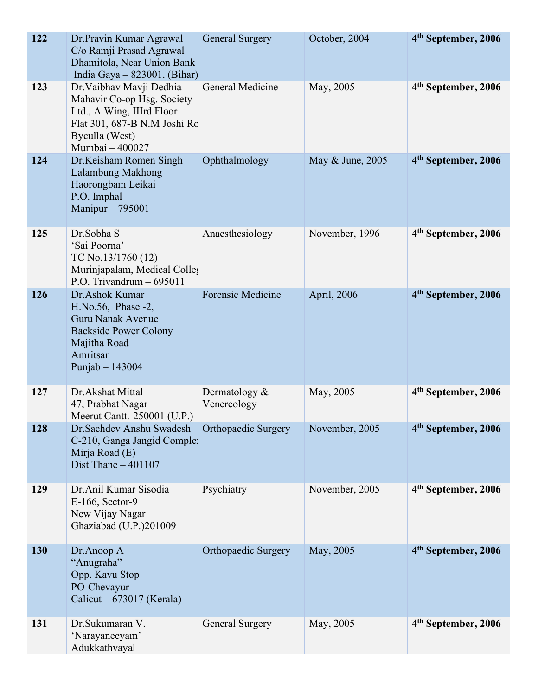| 122 | Dr. Pravin Kumar Agrawal<br>C/o Ramji Prasad Agrawal<br>Dhamitola, Near Union Bank<br>India Gaya $-$ 823001. (Bihar)                                     | <b>General Surgery</b>          | October, 2004    | 4 <sup>th</sup> September, 2006 |
|-----|----------------------------------------------------------------------------------------------------------------------------------------------------------|---------------------------------|------------------|---------------------------------|
| 123 | Dr. Vaibhav Mavji Dedhia<br>Mahavir Co-op Hsg. Society<br>Ltd., A Wing, IIIrd Floor<br>Flat 301, 687-B N.M Joshi Ro<br>Byculla (West)<br>Mumbai - 400027 | General Medicine                | May, 2005        | 4 <sup>th</sup> September, 2006 |
| 124 | Dr.Keisham Romen Singh<br>Lalambung Makhong<br>Haorongbam Leikai<br>P.O. Imphal<br>Manipur - 795001                                                      | Ophthalmology                   | May & June, 2005 | 4 <sup>th</sup> September, 2006 |
| 125 | Dr.Sobha S<br>'Sai Poorna'<br>TC No.13/1760 (12)<br>Murinjapalam, Medical Colle;<br>P.O. Trivandrum $-695011$                                            | Anaesthesiology                 | November, 1996   | 4 <sup>th</sup> September, 2006 |
| 126 | Dr.Ashok Kumar<br>H.No.56, Phase -2,<br>Guru Nanak Avenue<br><b>Backside Power Colony</b><br>Majitha Road<br>Amritsar<br>Punjab $-143004$                | <b>Forensic Medicine</b>        | April, 2006      | 4 <sup>th</sup> September, 2006 |
| 127 | Dr.Akshat Mittal<br>47, Prabhat Nagar<br>Meerut Cantt.- $250001$ (U.P.)                                                                                  | Dermatology $\&$<br>Venereology | May, 2005        | 4 <sup>th</sup> September, 2006 |
| 128 | Dr.Sachdev Anshu Swadesh<br>C-210, Ganga Jangid Comple.<br>Mirja Road (E)<br>Dist Thane $-401107$                                                        | Orthopaedic Surgery             | November, 2005   | 4 <sup>th</sup> September, 2006 |
| 129 | Dr.Anil Kumar Sisodia<br>E-166, Sector-9<br>New Vijay Nagar<br>Ghaziabad (U.P.)201009                                                                    | Psychiatry                      | November, 2005   | 4 <sup>th</sup> September, 2006 |
| 130 | Dr.Anoop A<br>"Anugraha"<br>Opp. Kavu Stop<br>PO-Chevayur<br>Calicut – $673017$ (Kerala)                                                                 | Orthopaedic Surgery             | May, 2005        | 4 <sup>th</sup> September, 2006 |
| 131 | Dr.Sukumaran V.<br>'Narayaneeyam'<br>Adukkathvayal                                                                                                       | <b>General Surgery</b>          | May, 2005        | 4 <sup>th</sup> September, 2006 |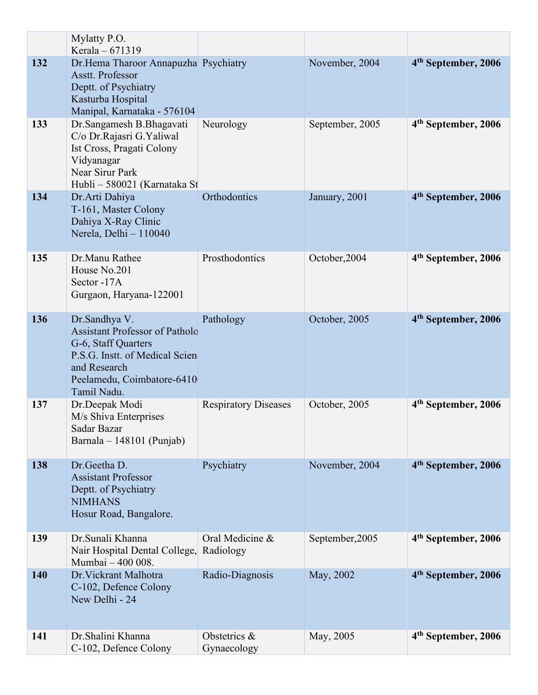|     | Mylatty P.O.<br>Kerala - 671319                                                                                                                                              |                             |                 |                                 |
|-----|------------------------------------------------------------------------------------------------------------------------------------------------------------------------------|-----------------------------|-----------------|---------------------------------|
| 132 | Dr.Hema Tharoor Annapuzha Psychiatry<br><b>Asstt. Professor</b><br>Deptt. of Psychiatry<br>Kasturba Hospital<br>Manipal, Karnataka - 576104                                  |                             | November, 2004  | 4 <sup>th</sup> September, 2006 |
| 133 | Dr.Sangamesh B.Bhagavati<br>C/o Dr.Rajasri G.Yaliwal<br>Ist Cross, Pragati Colony<br>Vidyanagar<br>Near Sirur Park<br>Hubli - 580021 (Karnataka St                           | Neurology                   | September, 2005 | 4 <sup>th</sup> September, 2006 |
| 134 | Dr.Arti Dahiya<br>T-161, Master Colony<br>Dahiya X-Ray Clinic<br>Nerela, Delhi - 110040                                                                                      | Orthodontics                | January, 2001   | 4 <sup>th</sup> September, 2006 |
| 135 | Dr.Manu Rathee<br>House No.201<br>Sector -17A<br>Gurgaon, Haryana-122001                                                                                                     | Prosthodontics              | October, 2004   | 4 <sup>th</sup> September, 2006 |
| 136 | Dr.Sandhya V.<br><b>Assistant Professor of Patholo</b><br>G-6, Staff Quarters<br>P.S.G. Instt. of Medical Scien<br>and Research<br>Peelamedu, Coimbatore-6410<br>Tamil Nadu. | Pathology                   | October, 2005   | 4 <sup>th</sup> September, 2006 |
| 137 | Dr.Deepak Modi<br>M/s Shiva Enterprises<br>Sadar Bazar<br>Barnala - 148101 (Punjab)                                                                                          | <b>Respiratory Diseases</b> | October, 2005   | 4 <sup>th</sup> September, 2006 |
| 138 | Dr.Geetha D.<br><b>Assistant Professor</b><br>Deptt. of Psychiatry<br><b>NIMHANS</b><br>Hosur Road, Bangalore.                                                               | Psychiatry                  | November, 2004  | 4 <sup>th</sup> September, 2006 |
| 139 | Dr. Sunali Khanna<br>Nair Hospital Dental College, Radiology<br>Mumbai - 400 008.                                                                                            | Oral Medicine &             | September, 2005 | 4 <sup>th</sup> September, 2006 |
| 140 | Dr. Vickrant Malhotra<br>C-102, Defence Colony<br>New Delhi - 24                                                                                                             | Radio-Diagnosis             | May, 2002       | 4 <sup>th</sup> September, 2006 |
| 141 | Dr.Shalini Khanna<br>C-102, Defence Colony                                                                                                                                   | Obstetrics &<br>Gynaecology | May, 2005       | 4 <sup>th</sup> September, 2006 |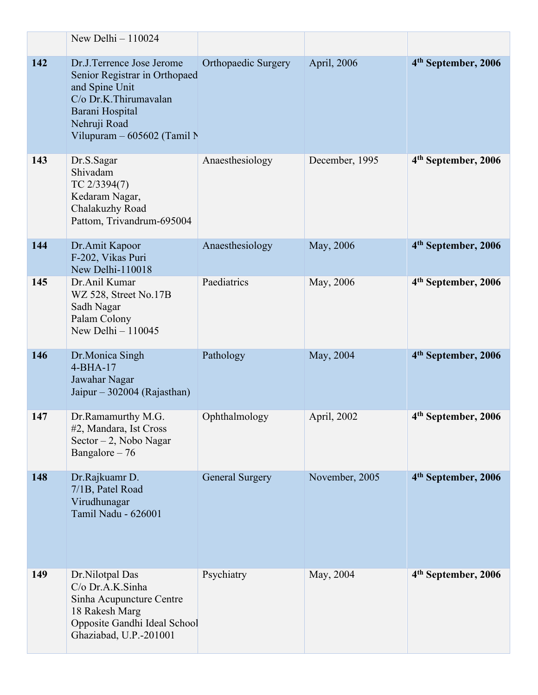|     | New Delhi $-110024$                                                                                                                                                     |                        |                |                                 |
|-----|-------------------------------------------------------------------------------------------------------------------------------------------------------------------------|------------------------|----------------|---------------------------------|
| 142 | Dr.J.Terrence Jose Jerome<br>Senior Registrar in Orthopaed<br>and Spine Unit<br>C/o Dr.K.Thirumavalan<br>Barani Hospital<br>Nehruji Road<br>Vilupuram - 605602 (Tamil N | Orthopaedic Surgery    | April, 2006    | 4 <sup>th</sup> September, 2006 |
| 143 | Dr.S.Sagar<br>Shivadam<br>TC 2/3394(7)<br>Kedaram Nagar,<br>Chalakuzhy Road<br>Pattom, Trivandrum-695004                                                                | Anaesthesiology        | December, 1995 | 4 <sup>th</sup> September, 2006 |
| 144 | Dr.Amit Kapoor<br>F-202, Vikas Puri<br>New Delhi-110018                                                                                                                 | Anaesthesiology        | May, 2006      | 4 <sup>th</sup> September, 2006 |
| 145 | Dr.Anil Kumar<br>WZ 528, Street No.17B<br>Sadh Nagar<br>Palam Colony<br>New Delhi - 110045                                                                              | Paediatrics            | May, 2006      | 4 <sup>th</sup> September, 2006 |
| 146 | Dr.Monica Singh<br>$4-BHA-17$<br>Jawahar Nagar<br>Jaipur – 302004 (Rajasthan)                                                                                           | Pathology              | May, 2004      | 4 <sup>th</sup> September, 2006 |
| 147 | Dr.Ramamurthy M.G.<br>#2, Mandara, Ist Cross<br>$Sector - 2$ , Nobo Nagar<br>Bangalore - 76                                                                             | Ophthalmology          | April, 2002    | 4 <sup>th</sup> September, 2006 |
| 148 | Dr.Rajkuamr D.<br>7/1B, Patel Road<br>Virudhunagar<br>Tamil Nadu - 626001                                                                                               | <b>General Surgery</b> | November, 2005 | 4 <sup>th</sup> September, 2006 |
| 149 | Dr.Nilotpal Das<br>C/o Dr.A.K.Sinha<br>Sinha Acupuncture Centre<br>18 Rakesh Marg<br>Opposite Gandhi Ideal School<br>Ghaziabad, U.P.-201001                             | Psychiatry             | May, 2004      | 4 <sup>th</sup> September, 2006 |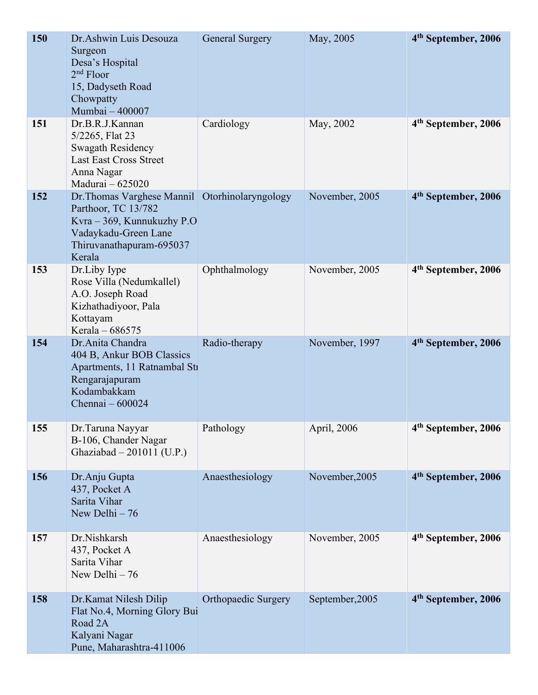| 150 | Dr.Ashwin Luis Desouza<br>Surgeon<br>Desa's Hospital<br>$2nd$ Floor<br>15, Dadyseth Road<br>Chowpatty<br>Mumbai - 400007                      | <b>General Surgery</b> | May, 2005       | 4 <sup>th</sup> September, 2006 |
|-----|-----------------------------------------------------------------------------------------------------------------------------------------------|------------------------|-----------------|---------------------------------|
| 151 | Dr.B.R.J.Kannan<br>5/2265, Flat 23<br><b>Swagath Residency</b><br><b>Last East Cross Street</b><br>Anna Nagar<br>Madurai - 625020             | Cardiology             | May, 2002       | 4 <sup>th</sup> September, 2006 |
| 152 | Dr. Thomas Varghese Mannil<br>Parthoor, TC 13/782<br>Kvra - 369, Kunnukuzhy P.O<br>Vadaykadu-Green Lane<br>Thiruvanathapuram-695037<br>Kerala | Otorhinolaryngology    | November, 2005  | 4 <sup>th</sup> September, 2006 |
| 153 | Dr.Liby Iype<br>Rose Villa (Nedumkallel)<br>A.O. Joseph Road<br>Kizhathadiyoor, Pala<br>Kottayam<br>Kerala - 686575                           | Ophthalmology          | November, 2005  | 4 <sup>th</sup> September, 2006 |
| 154 | Dr.Anita Chandra<br>404 B, Ankur BOB Classics<br>Apartments, 11 Ratnambal Sti<br>Rengarajapuram<br>Kodambakkam<br>Chennai - 600024            | Radio-therapy          | November, 1997  | 4 <sup>th</sup> September, 2006 |
| 155 | Dr.Taruna Nayyar<br>B-106, Chander Nagar<br>Ghaziabad $-201011$ (U.P.)                                                                        | Pathology              | April, 2006     | 4 <sup>th</sup> September, 2006 |
| 156 | Dr.Anju Gupta<br>437, Pocket A<br>Sarita Vihar<br>New Delhi $-76$                                                                             | Anaesthesiology        | November, 2005  | 4 <sup>th</sup> September, 2006 |
| 157 | Dr.Nishkarsh<br>437, Pocket A<br>Sarita Vihar<br>New Delhi $-76$                                                                              | Anaesthesiology        | November, 2005  | 4 <sup>th</sup> September, 2006 |
| 158 | Dr.Kamat Nilesh Dilip<br>Flat No.4, Morning Glory Bui<br>Road 2A<br>Kalyani Nagar<br>Pune, Maharashtra-411006                                 | Orthopaedic Surgery    | September, 2005 | 4 <sup>th</sup> September, 2006 |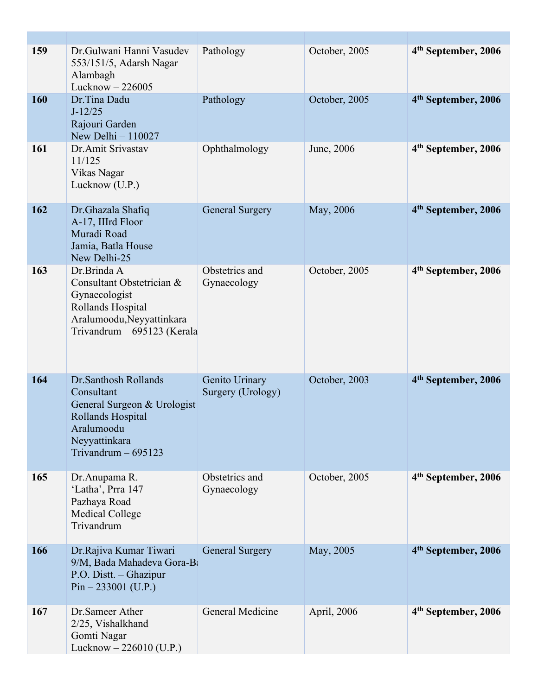| 159 | Dr. Gulwani Hanni Vasudev<br>553/151/5, Adarsh Nagar<br>Alambagh<br>Lucknow $-226005$                                                         | Pathology                           | October, 2005 | 4 <sup>th</sup> September, 2006 |
|-----|-----------------------------------------------------------------------------------------------------------------------------------------------|-------------------------------------|---------------|---------------------------------|
| 160 | Dr.Tina Dadu<br>$J-12/25$<br>Rajouri Garden<br>New Delhi - 110027                                                                             | Pathology                           | October, 2005 | 4 <sup>th</sup> September, 2006 |
| 161 | Dr.Amit Srivastav<br>11/125<br>Vikas Nagar<br>Lucknow (U.P.)                                                                                  | Ophthalmology                       | June, 2006    | 4 <sup>th</sup> September, 2006 |
| 162 | Dr.Ghazala Shafiq<br>A-17, IIIrd Floor<br>Muradi Road<br>Jamia, Batla House<br>New Delhi-25                                                   | <b>General Surgery</b>              | May, 2006     | 4 <sup>th</sup> September, 2006 |
| 163 | Dr.Brinda A<br>Consultant Obstetrician &<br>Gynaecologist<br>Rollands Hospital<br>Aralumoodu, Neyyattinkara<br>Trivandrum - 695123 (Kerala    | Obstetrics and<br>Gynaecology       | October, 2005 | 4 <sup>th</sup> September, 2006 |
| 164 | Dr.Santhosh Rollands<br>Consultant<br>General Surgeon & Urologist<br>Rollands Hospital<br>Aralumoodu<br>Neyyattinkara<br>Trivandrum $-695123$ | Genito Urinary<br>Surgery (Urology) | October, 2003 | 4 <sup>th</sup> September, 2006 |
| 165 | Dr.Anupama R.<br>'Latha', Prra 147<br>Pazhaya Road<br><b>Medical College</b><br>Trivandrum                                                    | Obstetrics and<br>Gynaecology       | October, 2005 | 4 <sup>th</sup> September, 2006 |
| 166 | Dr.Rajiva Kumar Tiwari<br>9/M, Bada Mahadeva Gora-Ba<br>P.O. Distt. - Ghazipur<br>$Pin - 233001$ (U.P.)                                       | <b>General Surgery</b>              | May, 2005     | 4 <sup>th</sup> September, 2006 |
| 167 | Dr.Sameer Ather<br>2/25, Vishalkhand<br>Gomti Nagar<br>Lucknow $-226010$ (U.P.)                                                               | General Medicine                    | April, 2006   | 4 <sup>th</sup> September, 2006 |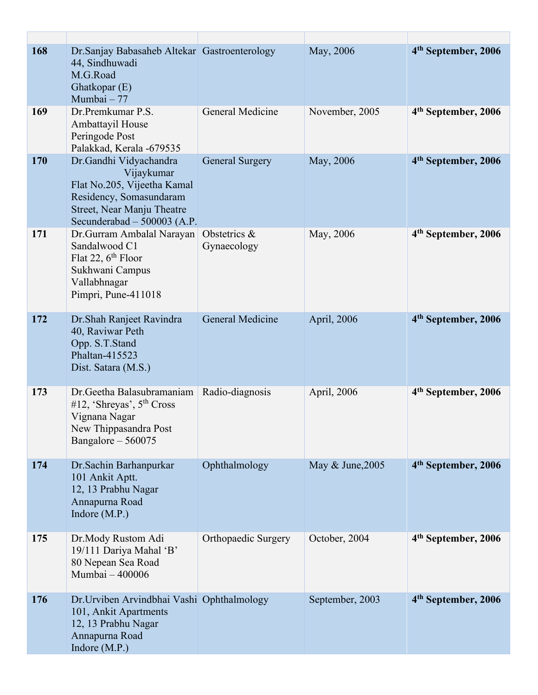| 168 | Dr. Sanjay Babasaheb Altekar Gastroenterology<br>44, Sindhuwadi<br>M.G.Road<br>Ghatkopar (E)<br>Mumbai - 77                                                 |                             | May, 2006        | 4 <sup>th</sup> September, 2006 |
|-----|-------------------------------------------------------------------------------------------------------------------------------------------------------------|-----------------------------|------------------|---------------------------------|
| 169 | Dr.Premkumar P.S.<br>Ambattayil House<br>Peringode Post<br>Palakkad, Kerala -679535                                                                         | General Medicine            | November, 2005   | 4 <sup>th</sup> September, 2006 |
| 170 | Dr.Gandhi Vidyachandra<br>Vijaykumar<br>Flat No.205, Vijeetha Kamal<br>Residency, Somasundaram<br>Street, Near Manju Theatre<br>Secunderabad - 500003 (A.P. | <b>General Surgery</b>      | May, 2006        | 4 <sup>th</sup> September, 2006 |
| 171 | Dr. Gurram Ambalal Narayan<br>Sandalwood C1<br>Flat 22, $6th$ Floor<br>Sukhwani Campus<br>Vallabhnagar<br>Pimpri, Pune-411018                               | Obstetrics &<br>Gynaecology | May, 2006        | 4 <sup>th</sup> September, 2006 |
| 172 | Dr. Shah Ranjeet Ravindra<br>40, Raviwar Peth<br>Opp. S.T.Stand<br>Phaltan-415523<br>Dist. Satara (M.S.)                                                    | General Medicine            | April, 2006      | 4 <sup>th</sup> September, 2006 |
| 173 | Dr. Geetha Balasubramaniam<br>#12, 'Shreyas', $5th Cross$<br>Vignana Nagar<br>New Thippasandra Post<br>Bangalore $-560075$                                  | Radio-diagnosis             | April, 2006      | 4 <sup>th</sup> September, 2006 |
| 174 | Dr.Sachin Barhanpurkar<br>101 Ankit Aptt.<br>12, 13 Prabhu Nagar<br>Annapurna Road<br>Indore (M.P.)                                                         | Ophthalmology               | May & June, 2005 | 4 <sup>th</sup> September, 2006 |
| 175 | Dr.Mody Rustom Adi<br>19/111 Dariya Mahal 'B'<br>80 Nepean Sea Road<br>Mumbai - 400006                                                                      | <b>Orthopaedic Surgery</b>  | October, 2004    | 4 <sup>th</sup> September, 2006 |
| 176 | Dr. Urviben Arvindbhai Vashi Ophthalmology<br>101, Ankit Apartments<br>12, 13 Prabhu Nagar<br>Annapurna Road<br>Indore (M.P.)                               |                             | September, 2003  | 4 <sup>th</sup> September, 2006 |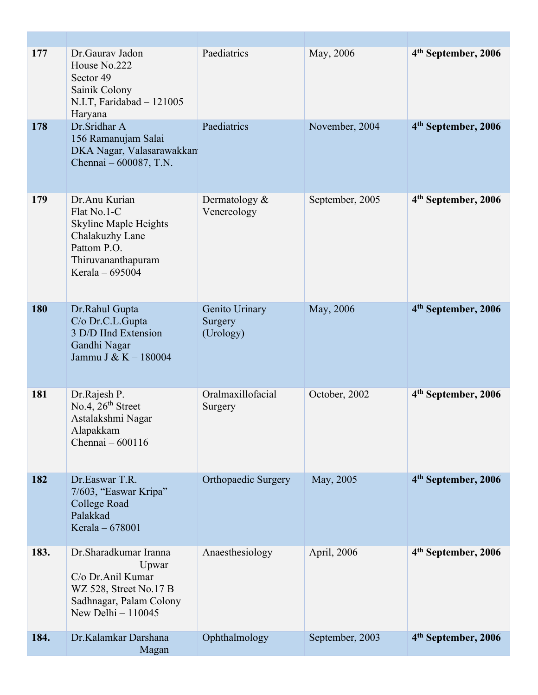| 177  | Dr. Gauray Jadon<br>House No.222<br>Sector 49<br>Sainik Colony<br>N.I.T, Faridabad - 121005<br>Haryana                                  | Paediatrics                            | May, 2006       | 4 <sup>th</sup> September, 2006 |
|------|-----------------------------------------------------------------------------------------------------------------------------------------|----------------------------------------|-----------------|---------------------------------|
| 178  | Dr.Sridhar A<br>156 Ramanujam Salai<br>DKA Nagar, Valasarawakkan<br>Chennai - 600087, T.N.                                              | Paediatrics                            | November, 2004  | 4 <sup>th</sup> September, 2006 |
| 179  | Dr.Anu Kurian<br>Flat No.1-C<br><b>Skyline Maple Heights</b><br>Chalakuzhy Lane<br>Pattom P.O.<br>Thiruvananthapuram<br>Kerala - 695004 | Dermatology $\&$<br>Venereology        | September, 2005 | 4 <sup>th</sup> September, 2006 |
| 180  | Dr.Rahul Gupta<br>C/o Dr.C.L.Gupta<br>3 D/D IInd Extension<br>Gandhi Nagar<br>Jammu J & K - 180004                                      | Genito Urinary<br>Surgery<br>(Urology) | May, 2006       | 4 <sup>th</sup> September, 2006 |
| 181  | Dr.Rajesh P.<br>No.4, $26th$ Street<br>Astalakshmi Nagar<br>Alapakkam<br>Chennai - 600116                                               | Oralmaxillofacial<br>Surgery           | October, 2002   | 4 <sup>th</sup> September, 2006 |
| 182  | Dr. Easwar T.R.<br>7/603, "Easwar Kripa"<br>College Road<br>Palakkad<br>Kerala - 678001                                                 | <b>Orthopaedic Surgery</b>             | May, 2005       | 4 <sup>th</sup> September, 2006 |
| 183. | Dr.Sharadkumar Iranna<br>Upwar<br>C/o Dr.Anil Kumar<br>WZ 528, Street No.17 B<br>Sadhnagar, Palam Colony<br>New Delhi $-110045$         | Anaesthesiology                        | April, 2006     | 4 <sup>th</sup> September, 2006 |
| 184. | Dr.Kalamkar Darshana<br>Magan                                                                                                           | Ophthalmology                          | September, 2003 | 4 <sup>th</sup> September, 2006 |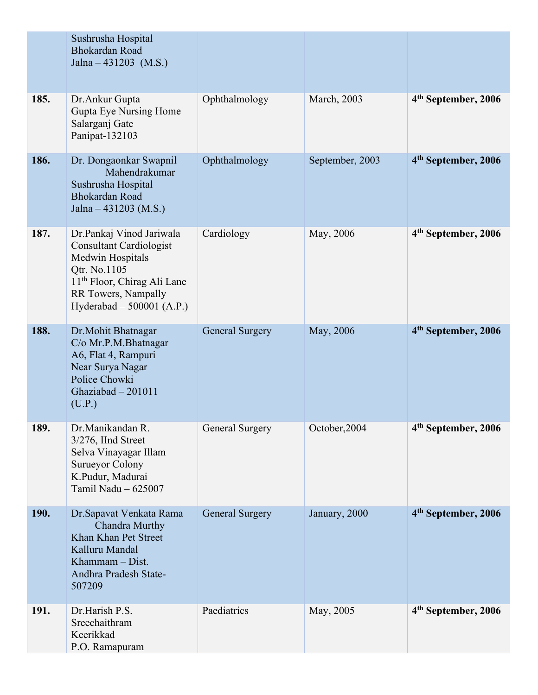|      | Sushrusha Hospital<br><b>Bhokardan Road</b><br>Jalna – 431203 (M.S.)                                                                                                                           |                        |                 |                                 |
|------|------------------------------------------------------------------------------------------------------------------------------------------------------------------------------------------------|------------------------|-----------------|---------------------------------|
| 185. | Dr.Ankur Gupta<br>Gupta Eye Nursing Home<br>Salarganj Gate<br>Panipat-132103                                                                                                                   | Ophthalmology          | March, 2003     | 4 <sup>th</sup> September, 2006 |
| 186. | Dr. Dongaonkar Swapnil<br>Mahendrakumar<br>Sushrusha Hospital<br><b>Bhokardan Road</b><br>Jalna – 431203 (M.S.)                                                                                | Ophthalmology          | September, 2003 | 4 <sup>th</sup> September, 2006 |
| 187. | Dr.Pankaj Vinod Jariwala<br><b>Consultant Cardiologist</b><br>Medwin Hospitals<br>Qtr. No.1105<br>11 <sup>th</sup> Floor, Chirag Ali Lane<br>RR Towers, Nampally<br>Hyderabad $-500001$ (A.P.) | Cardiology             | May, 2006       | 4 <sup>th</sup> September, 2006 |
| 188. | Dr. Mohit Bhatnagar<br>C/o Mr.P.M.Bhatnagar<br>A6, Flat 4, Rampuri<br>Near Surya Nagar<br>Police Chowki<br>Ghaziabad $-201011$<br>(U.P.)                                                       | <b>General Surgery</b> | May, 2006       | 4 <sup>th</sup> September, 2006 |
| 189. | Dr.Manikandan R.<br>3/276, IInd Street<br>Selva Vinayagar Illam<br><b>Surueyor Colony</b><br>K.Pudur, Madurai<br>Tamil Nadu - 625007                                                           | <b>General Surgery</b> | October, 2004   | 4 <sup>th</sup> September, 2006 |
| 190. | Dr. Sapavat Venkata Rama<br>Chandra Murthy<br>Khan Khan Pet Street<br>Kalluru Mandal<br>Khammam - Dist.<br>Andhra Pradesh State-<br>507209                                                     | <b>General Surgery</b> | January, 2000   | 4 <sup>th</sup> September, 2006 |
| 191. | Dr.Harish P.S.<br>Sreechaithram<br>Keerikkad<br>P.O. Ramapuram                                                                                                                                 | Paediatrics            | May, 2005       | 4 <sup>th</sup> September, 2006 |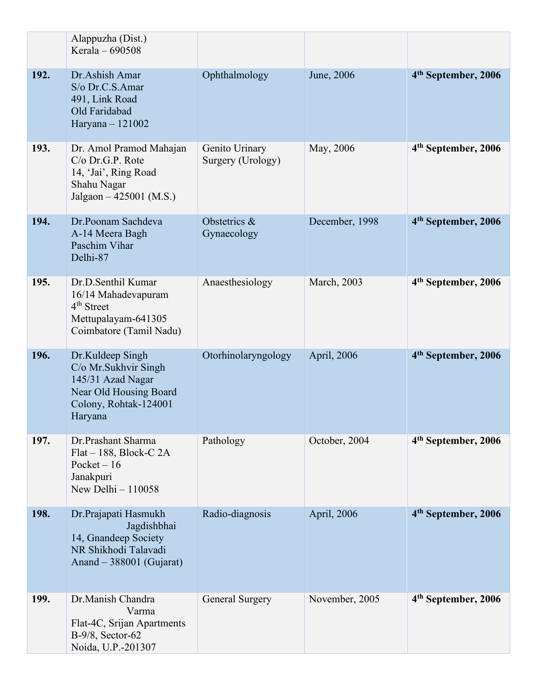|      | Alappuzha (Dist.)<br>Kerala - 690508                                                                                        |                                     |                |                                 |
|------|-----------------------------------------------------------------------------------------------------------------------------|-------------------------------------|----------------|---------------------------------|
| 192. | Dr.Ashish Amar<br>S/o Dr.C.S.Amar<br>491, Link Road<br>Old Faridabad<br>Haryana - 121002                                    | Ophthalmology                       | June, 2006     | 4 <sup>th</sup> September, 2006 |
| 193. | Dr. Amol Pramod Mahajan<br>C/o Dr.G.P. Rote<br>14, 'Jai', Ring Road<br>Shahu Nagar<br>Jalgaon $-425001$ (M.S.)              | Genito Urinary<br>Surgery (Urology) | May, 2006      | 4 <sup>th</sup> September, 2006 |
| 194. | Dr.Poonam Sachdeva<br>A-14 Meera Bagh<br>Paschim Vihar<br>Delhi-87                                                          | Obstetrics &<br>Gynaecology         | December, 1998 | 4 <sup>th</sup> September, 2006 |
| 195. | Dr.D.Senthil Kumar<br>16/14 Mahadevapuram<br>4 <sup>th</sup> Street<br>Mettupalayam-641305<br>Coimbatore (Tamil Nadu)       | Anaesthesiology                     | March, 2003    | 4 <sup>th</sup> September, 2006 |
| 196. | Dr.Kuldeep Singh<br>C/o Mr.Sukhvir Singh<br>145/31 Azad Nagar<br>Near Old Housing Board<br>Colony, Rohtak-124001<br>Haryana | Otorhinolaryngology                 | April, 2006    | 4 <sup>th</sup> September, 2006 |
| 197. | Dr.Prashant Sharma<br>$Flat-188$ , Block-C 2A<br>Pocket $-16$<br>Janakpuri<br>New Delhi $-110058$                           | Pathology                           | October, 2004  | 4 <sup>th</sup> September, 2006 |
| 198. | Dr.Prajapati Hasmukh<br>Jagdishbhai<br>14, Gnandeep Society<br>NR Shikhodi Talavadi<br>Anand - 388001 (Gujarat)             | Radio-diagnosis                     | April, 2006    | 4 <sup>th</sup> September, 2006 |
| 199. | Dr.Manish Chandra<br>Varma<br>Flat-4C, Srijan Apartments<br>B-9/8, Sector-62<br>Noida, U.P.-201307                          | <b>General Surgery</b>              | November, 2005 | 4 <sup>th</sup> September, 2006 |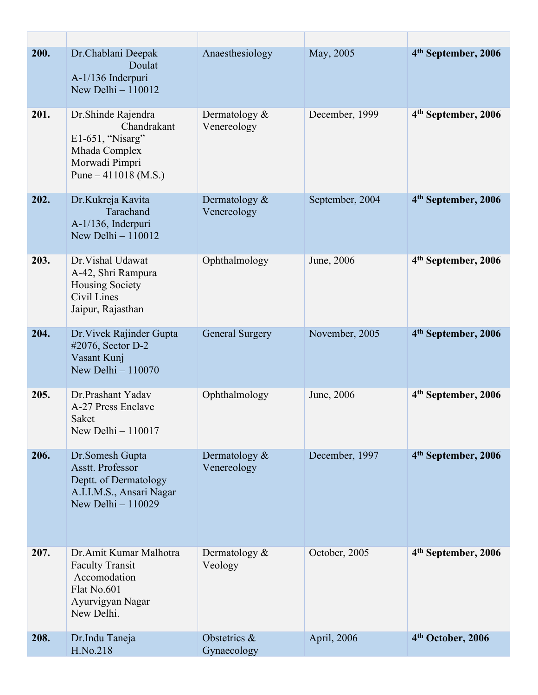| 200. | Dr.Chablani Deepak<br>Doulat<br>A-1/136 Inderpuri<br>New Delhi $-110012$                                           | Anaesthesiology                 | May, 2005       | 4 <sup>th</sup> September, 2006 |
|------|--------------------------------------------------------------------------------------------------------------------|---------------------------------|-----------------|---------------------------------|
| 201. | Dr. Shinde Rajendra<br>Chandrakant<br>E1-651, "Nisarg"<br>Mhada Complex<br>Morwadi Pimpri<br>Pune $-411018$ (M.S.) | Dermatology $\&$<br>Venereology | December, 1999  | 4 <sup>th</sup> September, 2006 |
| 202. | Dr.Kukreja Kavita<br>Tarachand<br>A-1/136, Inderpuri<br>New Delhi $-110012$                                        | Dermatology &<br>Venereology    | September, 2004 | 4 <sup>th</sup> September, 2006 |
| 203. | Dr. Vishal Udawat<br>A-42, Shri Rampura<br><b>Housing Society</b><br>Civil Lines<br>Jaipur, Rajasthan              | Ophthalmology                   | June, 2006      | 4 <sup>th</sup> September, 2006 |
| 204. | Dr. Vivek Rajinder Gupta<br>#2076, Sector D-2<br>Vasant Kunj<br>New Delhi - 110070                                 | <b>General Surgery</b>          | November, 2005  | 4 <sup>th</sup> September, 2006 |
| 205. | Dr.Prashant Yadav<br>A-27 Press Enclave<br>Saket<br>New Delhi $-110017$                                            | Ophthalmology                   | June, 2006      | 4 <sup>th</sup> September, 2006 |
| 206. | Dr.Somesh Gupta<br>Asstt. Professor<br>Deptt. of Dermatology<br>A.I.I.M.S., Ansari Nagar<br>New Delhi $-110029$    | Dermatology $\&$<br>Venereology | December, 1997  | 4 <sup>th</sup> September, 2006 |
| 207. | Dr.Amit Kumar Malhotra<br><b>Faculty Transit</b><br>Accomodation<br>Flat No.601<br>Ayurvigyan Nagar<br>New Delhi.  | Dermatology &<br>Veology        | October, 2005   | 4 <sup>th</sup> September, 2006 |
| 208. | Dr.Indu Taneja<br>H.No.218                                                                                         | Obstetrics &<br>Gynaecology     | April, 2006     | 4 <sup>th</sup> October, 2006   |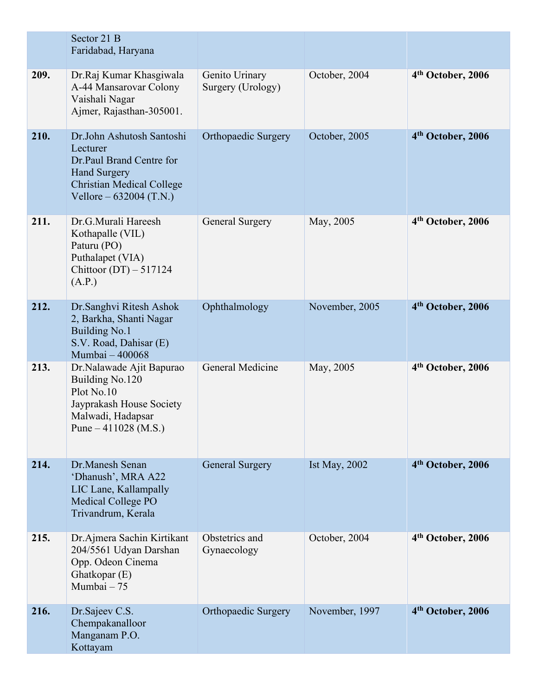|      | Sector 21 B<br>Faridabad, Haryana                                                                                                                         |                                     |                      |                               |
|------|-----------------------------------------------------------------------------------------------------------------------------------------------------------|-------------------------------------|----------------------|-------------------------------|
| 209. | Dr.Raj Kumar Khasgiwala<br>A-44 Mansarovar Colony<br>Vaishali Nagar<br>Ajmer, Rajasthan-305001.                                                           | Genito Urinary<br>Surgery (Urology) | October, 2004        | 4 <sup>th</sup> October, 2006 |
| 210. | Dr.John Ashutosh Santoshi<br>Lecturer<br>Dr.Paul Brand Centre for<br><b>Hand Surgery</b><br><b>Christian Medical College</b><br>Vellore – $632004$ (T.N.) | <b>Orthopaedic Surgery</b>          | October, 2005        | 4 <sup>th</sup> October, 2006 |
| 211. | Dr.G.Murali Hareesh<br>Kothapalle (VIL)<br>Paturu (PO)<br>Puthalapet (VIA)<br>Chittoor $(DT) - 517124$<br>(A.P.)                                          | <b>General Surgery</b>              | May, 2005            | 4 <sup>th</sup> October, 2006 |
| 212. | Dr.Sanghvi Ritesh Ashok<br>2, Barkha, Shanti Nagar<br>Building No.1<br>S.V. Road, Dahisar (E)<br>Mumbai - 400068                                          | Ophthalmology                       | November, 2005       | 4 <sup>th</sup> October, 2006 |
| 213. | Dr.Nalawade Ajit Bapurao<br>Building No.120<br>Plot No.10<br>Jayprakash House Society<br>Malwadi, Hadapsar<br>Pune $-411028$ (M.S.)                       | General Medicine                    | May, 2005            | 4 <sup>th</sup> October, 2006 |
| 214. | Dr.Manesh Senan<br>'Dhanush', MRA A22<br>LIC Lane, Kallampally<br>Medical College PO<br>Trivandrum, Kerala                                                | <b>General Surgery</b>              | <b>Ist May, 2002</b> | 4 <sup>th</sup> October, 2006 |
| 215. | Dr.Ajmera Sachin Kirtikant<br>204/5561 Udyan Darshan<br>Opp. Odeon Cinema<br>Ghatkopar (E)<br>Mumbai - 75                                                 | Obstetrics and<br>Gynaecology       | October, 2004        | 4 <sup>th</sup> October, 2006 |
| 216. | Dr.Sajeev C.S.<br>Chempakanalloor<br>Manganam P.O.<br>Kottayam                                                                                            | <b>Orthopaedic Surgery</b>          | November, 1997       | 4 <sup>th</sup> October, 2006 |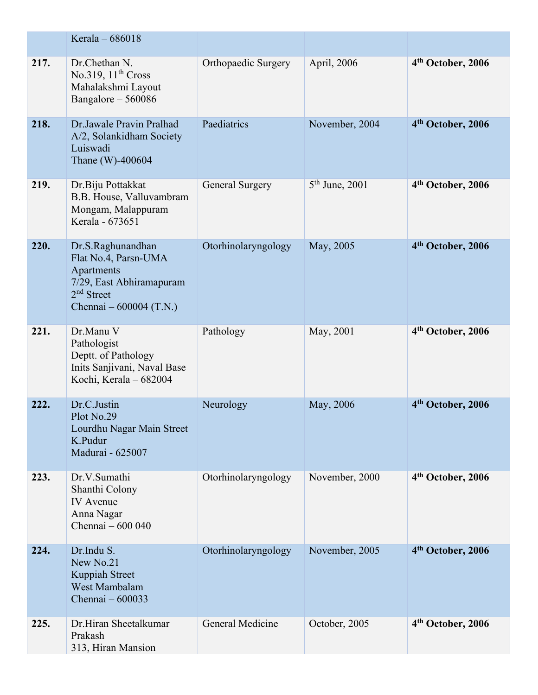|      | Kerala - 686018                                                                                                                 |                     |                  |                               |
|------|---------------------------------------------------------------------------------------------------------------------------------|---------------------|------------------|-------------------------------|
| 217. | Dr.Chethan N.<br>No.319, $11th Cross$<br>Mahalakshmi Layout<br>Bangalore - 560086                                               | Orthopaedic Surgery | April, 2006      | 4 <sup>th</sup> October, 2006 |
| 218. | Dr. Jawale Pravin Pralhad<br>A/2, Solankidham Society<br>Luiswadi<br>Thane (W)-400604                                           | Paediatrics         | November, 2004   | 4 <sup>th</sup> October, 2006 |
| 219. | Dr.Biju Pottakkat<br>B.B. House, Valluvambram<br>Mongam, Malappuram<br>Kerala - 673651                                          | General Surgery     | $5th$ June, 2001 | 4 <sup>th</sup> October, 2006 |
| 220. | Dr.S.Raghunandhan<br>Flat No.4, Parsn-UMA<br>Apartments<br>7/29, East Abhiramapuram<br>$2nd$ Street<br>Chennai $-600004$ (T.N.) | Otorhinolaryngology | May, 2005        | 4 <sup>th</sup> October, 2006 |
| 221. | Dr.Manu V<br>Pathologist<br>Deptt. of Pathology<br>Inits Sanjivani, Naval Base<br>Kochi, Kerala - 682004                        | Pathology           | May, 2001        | 4 <sup>th</sup> October, 2006 |
| 222. | Dr.C.Justin<br>Plot No.29<br>Lourdhu Nagar Main Street<br>K.Pudur<br>Madurai - 625007                                           | Neurology           | May, 2006        | 4 <sup>th</sup> October, 2006 |
| 223. | Dr.V.Sumathi<br>Shanthi Colony<br><b>IV</b> Avenue<br>Anna Nagar<br>Chennai - 600 040                                           | Otorhinolaryngology | November, 2000   | 4 <sup>th</sup> October, 2006 |
| 224. | Dr.Indu S.<br>New No.21<br>Kuppiah Street<br>West Mambalam<br>Chennai - 600033                                                  | Otorhinolaryngology | November, 2005   | 4 <sup>th</sup> October, 2006 |
| 225. | Dr.Hiran Sheetalkumar<br>Prakash<br>313, Hiran Mansion                                                                          | General Medicine    | October, 2005    | 4 <sup>th</sup> October, 2006 |